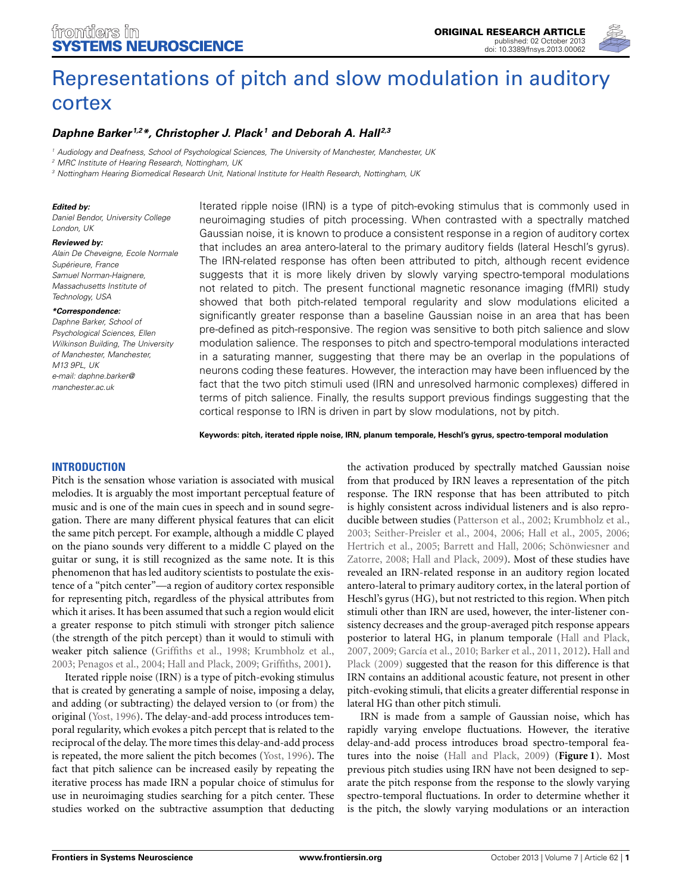

# [Representations of pitch and slow modulation in auditory](http://www.frontiersin.org/Systems_Neuroscience/10.3389/fnsys.2013.00062/abstract) cortex

# *[Daphne Barker](http://www.frontiersin.org/Community/WhosWhoActivity.aspx?sname=DaphneBarker&UID=96772) 1,2\*, [Christopher J. Plack](http://www.frontiersin.org/Community/WhosWhoActivity.aspx?sname=ChrisPlack&UID=22233)1 and [Deborah A. Hall](http://community.frontiersin.org/people/DeborahHall_1/45784) 2,3*

*<sup>1</sup> Audiology and Deafness, School of Psychological Sciences, The University of Manchester, Manchester, UK*

*<sup>2</sup> MRC Institute of Hearing Research, Nottingham, UK*

*<sup>3</sup> Nottingham Hearing Biomedical Research Unit, National Institute for Health Research, Nottingham, UK*

#### *Edited by:*

*Daniel Bendor, University College London, UK*

#### *Reviewed by:*

*Alain De Cheveigne, Ecole Normale Supérieure, France Samuel Norman-Haignere, Massachusetts Institute of Technology, USA*

#### *\*Correspondence:*

*Daphne Barker, School of Psychological Sciences, Ellen Wilkinson Building, The University of Manchester, Manchester, M13 9PL, UK e-mail: [daphne.barker@](mailto:daphne.barker@manchester.ac.uk) [manchester.ac.uk](mailto:daphne.barker@manchester.ac.uk)*

Iterated ripple noise (IRN) is a type of pitch-evoking stimulus that is commonly used in neuroimaging studies of pitch processing. When contrasted with a spectrally matched Gaussian noise, it is known to produce a consistent response in a region of auditory cortex that includes an area antero-lateral to the primary auditory fields (lateral Heschl's gyrus). The IRN-related response has often been attributed to pitch, although recent evidence suggests that it is more likely driven by slowly varying spectro-temporal modulations not related to pitch. The present functional magnetic resonance imaging (fMRI) study showed that both pitch-related temporal regularity and slow modulations elicited a significantly greater response than a baseline Gaussian noise in an area that has been pre-defined as pitch-responsive. The region was sensitive to both pitch salience and slow modulation salience. The responses to pitch and spectro-temporal modulations interacted in a saturating manner, suggesting that there may be an overlap in the populations of neurons coding these features. However, the interaction may have been influenced by the fact that the two pitch stimuli used (IRN and unresolved harmonic complexes) differed in terms of pitch salience. Finally, the results support previous findings suggesting that the cortical response to IRN is driven in part by slow modulations, not by pitch.

**Keywords: pitch, iterated ripple noise, IRN, planum temporale, Heschl's gyrus, spectro-temporal modulation**

# **INTRODUCTION**

Pitch is the sensation whose variation is associated with musical melodies. It is arguably the most important perceptual feature of music and is one of the main cues in speech and in sound segregation. There are many different physical features that can elicit the same pitch percept. For example, although a middle C played on the piano sounds very different to a middle C played on the guitar or sung, it is still recognized as the same note. It is this phenomenon that has led auditory scientists to postulate the existence of a "pitch center"—a region of auditory cortex responsible for representing pitch, regardless of the physical attributes from which it arises. It has been assumed that such a region would elicit a greater response to pitch stimuli with stronger pitch salience (the strength of the pitch percept) than it would to stimuli with weaker pitch salience [\(Griffiths et al.](#page-8-0), [1998;](#page-8-0) [Krumbholz et al.,](#page-8-1) [2003](#page-8-1); [Penagos et al., 2004;](#page-8-2) [Hall and Plack](#page-8-3), [2009](#page-8-3); [Griffiths, 2001](#page-8-4)).

Iterated ripple noise (IRN) is a type of pitch-evoking stimulus that is created by generating a sample of noise, imposing a delay, and adding (or subtracting) the delayed version to (or from) the original [\(Yost](#page-8-5), [1996](#page-8-5)). The delay-and-add process introduces temporal regularity, which evokes a pitch percept that is related to the reciprocal of the delay. The more times this delay-and-add process is repeated, the more salient the pitch becomes [\(Yost, 1996\)](#page-8-5). The fact that pitch salience can be increased easily by repeating the iterative process has made IRN a popular choice of stimulus for use in neuroimaging studies searching for a pitch center. These studies worked on the subtractive assumption that deducting

the activation produced by spectrally matched Gaussian noise from that produced by IRN leaves a representation of the pitch response. The IRN response that has been attributed to pitch is highly consistent across individual listeners and is also reproducible between studies [\(Patterson et al., 2002;](#page-8-6) [Krumbholz et al.,](#page-8-1) [2003](#page-8-1); [Seither-Preisler et al., 2004,](#page-8-7) [2006](#page-8-8); [Hall et al., 2005,](#page-8-9) [2006;](#page-8-10) [Hertrich et al.](#page-8-11)[,](#page-8-13) [2005](#page-8-11)[;](#page-8-13) [Barrett and Hall, 2006](#page-8-12)[;](#page-8-13) Schönwiesner and Zatorre, [2008;](#page-8-13) [Hall and Plack, 2009\)](#page-8-3). Most of these studies have revealed an IRN-related response in an auditory region located antero-lateral to primary auditory cortex, in the lateral portion of Heschl's gyrus (HG), but not restricted to this region. When pitch stimuli other than IRN are used, however, the inter-listener consistency decreases and the group-averaged pitch response appears posterior to lateral HG, in planum temporale [\(Hall and Plack,](#page-8-14) [2007](#page-8-14), [2009;](#page-8-3) [García et al.](#page-8-15)[,](#page-8-3) [2010](#page-8-15)[;](#page-8-3) [Barker et al., 2011](#page-8-16)[,](#page-8-3) [2012](#page-8-17)[\).](#page-8-3) Hall and Plack [\(2009](#page-8-3)) suggested that the reason for this difference is that IRN contains an additional acoustic feature, not present in other pitch-evoking stimuli, that elicits a greater differential response in lateral HG than other pitch stimuli.

IRN is made from a sample of Gaussian noise, which has rapidly varying envelope fluctuations. However, the iterative delay-and-add process introduces broad spectro-temporal features into the noise [\(Hall and Plack](#page-8-3), [2009](#page-8-3)) (**[Figure 1](#page-1-0)**). Most previous pitch studies using IRN have not been designed to separate the pitch response from the response to the slowly varying spectro-temporal fluctuations. In order to determine whether it is the pitch, the slowly varying modulations or an interaction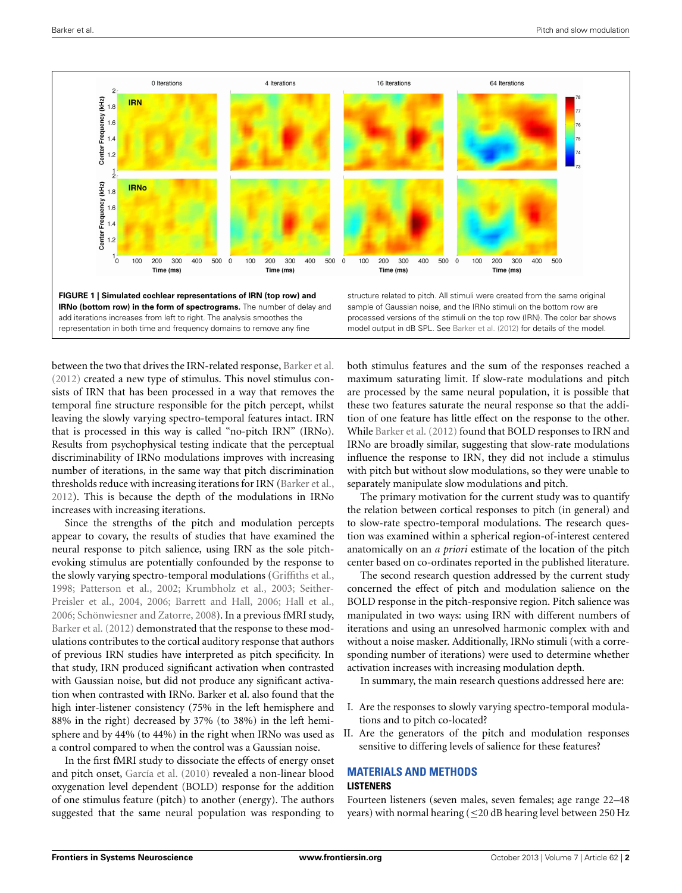

<span id="page-1-0"></span>between the two that drives the IRN-related response, [Barker et al.](#page-8-17) [\(2012\)](#page-8-17) created a new type of stimulus. This novel stimulus consists of IRN that has been processed in a way that removes the temporal fine structure responsible for the pitch percept, whilst leaving the slowly varying spectro-temporal features intact. IRN that is processed in this way is called "no-pitch IRN" (IRNo). Results from psychophysical testing indicate that the perceptual discriminability of IRNo modulations improves with increasing number of iterations, in the same way that pitch discrimination thresholds reduce with increasing iterations for IRN [\(Barker et al.](#page-8-17), [2012](#page-8-17)). This is because the depth of the modulations in IRNo increases with increasing iterations.

Since the strengths of the pitch and modulation percepts appear to covary, the results of studies that have examined the neural response to pitch salience, using IRN as the sole pitchevoking stimulus are potentially confounded by the response to the slowly varying spectro-temporal modulations [\(Griffiths et al.](#page-8-0), [1998](#page-8-0); [Patterson et al.](#page-8-6)[,](#page-8-7) [2002](#page-8-6)[;](#page-8-7) [Krumbholz et al.](#page-8-1)[,](#page-8-7) [2003](#page-8-1)[;](#page-8-7) Seither-Preisler et al., [2004](#page-8-7), [2006;](#page-8-8) [Barrett and Hall](#page-8-12), [2006;](#page-8-12) [Hall et al.](#page-8-10), [2006](#page-8-10); [Schönwiesner and Zatorre](#page-8-13), [2008\)](#page-8-13). In a previous fMRI study, [Barker et al.](#page-8-17) [\(2012\)](#page-8-17) demonstrated that the response to these modulations contributes to the cortical auditory response that authors of previous IRN studies have interpreted as pitch specificity. In that study, IRN produced significant activation when contrasted with Gaussian noise, but did not produce any significant activation when contrasted with IRNo. Barker et al. also found that the high inter-listener consistency (75% in the left hemisphere and 88% in the right) decreased by 37% (to 38%) in the left hemisphere and by 44% (to 44%) in the right when IRNo was used as a control compared to when the control was a Gaussian noise.

In the first fMRI study to dissociate the effects of energy onset and pitch onset, [García et al.](#page-8-15) [\(2010\)](#page-8-15) revealed a non-linear blood oxygenation level dependent (BOLD) response for the addition of one stimulus feature (pitch) to another (energy). The authors suggested that the same neural population was responding to

both stimulus features and the sum of the responses reached a maximum saturating limit. If slow-rate modulations and pitch are processed by the same neural population, it is possible that these two features saturate the neural response so that the addition of one feature has little effect on the response to the other. While [Barker et al.](#page-8-17) [\(2012\)](#page-8-17) found that BOLD responses to IRN and IRNo are broadly similar, suggesting that slow-rate modulations influence the response to IRN, they did not include a stimulus with pitch but without slow modulations, so they were unable to separately manipulate slow modulations and pitch.

The primary motivation for the current study was to quantify the relation between cortical responses to pitch (in general) and to slow-rate spectro-temporal modulations. The research question was examined within a spherical region-of-interest centered anatomically on an *a priori* estimate of the location of the pitch center based on co-ordinates reported in the published literature.

The second research question addressed by the current study concerned the effect of pitch and modulation salience on the BOLD response in the pitch-responsive region. Pitch salience was manipulated in two ways: using IRN with different numbers of iterations and using an unresolved harmonic complex with and without a noise masker. Additionally, IRNo stimuli (with a corresponding number of iterations) were used to determine whether activation increases with increasing modulation depth.

In summary, the main research questions addressed here are:

- I. Are the responses to slowly varying spectro-temporal modulations and to pitch co-located?
- II. Are the generators of the pitch and modulation responses sensitive to differing levels of salience for these features?

# **MATERIALS AND METHODS LISTENERS**

Fourteen listeners (seven males, seven females; age range 22–48 years) with normal hearing ( $\leq$ 20 dB hearing level between 250 Hz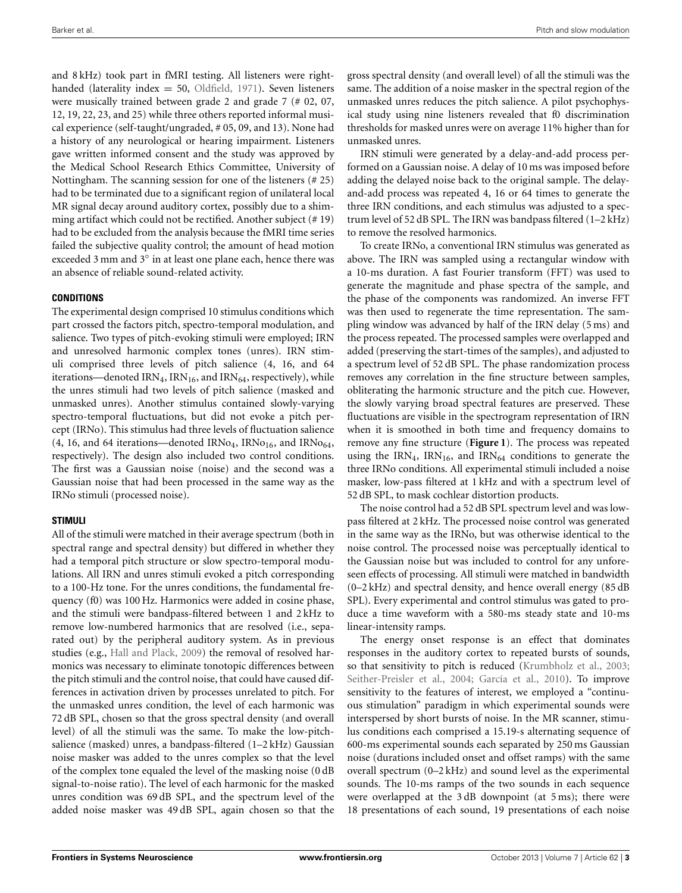and 8 kHz) took part in fMRI testing. All listeners were righthanded (laterality index  $= 50$ , [Oldfield, 1971](#page-8-18)). Seven listeners were musically trained between grade 2 and grade 7 (# 02, 07, 12, 19, 22, 23, and 25) while three others reported informal musical experience (self-taught/ungraded, # 05, 09, and 13). None had a history of any neurological or hearing impairment. Listeners gave written informed consent and the study was approved by the Medical School Research Ethics Committee, University of Nottingham. The scanning session for one of the listeners (# 25) had to be terminated due to a significant region of unilateral local MR signal decay around auditory cortex, possibly due to a shimming artifact which could not be rectified. Another subject (# 19) had to be excluded from the analysis because the fMRI time series failed the subjective quality control; the amount of head motion exceeded 3 mm and 3◦ in at least one plane each, hence there was an absence of reliable sound-related activity.

## **CONDITIONS**

The experimental design comprised 10 stimulus conditions which part crossed the factors pitch, spectro-temporal modulation, and salience. Two types of pitch-evoking stimuli were employed; IRN and unresolved harmonic complex tones (unres). IRN stimuli comprised three levels of pitch salience (4, 16, and 64 iterations—denoted IRN<sub>4</sub>, IRN<sub>16</sub>, and IRN<sub>64</sub>, respectively), while the unres stimuli had two levels of pitch salience (masked and unmasked unres). Another stimulus contained slowly-varying spectro-temporal fluctuations, but did not evoke a pitch percept (IRNo). This stimulus had three levels of fluctuation salience  $(4, 16,$  and 64 iterations—denoted IRNo<sub>4</sub>, IRNo<sub>16</sub>, and IRNo<sub>64</sub>, respectively). The design also included two control conditions. The first was a Gaussian noise (noise) and the second was a Gaussian noise that had been processed in the same way as the IRNo stimuli (processed noise).

# **STIMULI**

All of the stimuli were matched in their average spectrum (both in spectral range and spectral density) but differed in whether they had a temporal pitch structure or slow spectro-temporal modulations. All IRN and unres stimuli evoked a pitch corresponding to a 100-Hz tone. For the unres conditions, the fundamental frequency (f0) was 100 Hz. Harmonics were added in cosine phase, and the stimuli were bandpass-filtered between 1 and 2 kHz to remove low-numbered harmonics that are resolved (i.e., separated out) by the peripheral auditory system. As in previous studies (e.g., [Hall and Plack, 2009](#page-8-3)) the removal of resolved harmonics was necessary to eliminate tonotopic differences between the pitch stimuli and the control noise, that could have caused differences in activation driven by processes unrelated to pitch. For the unmasked unres condition, the level of each harmonic was 72 dB SPL, chosen so that the gross spectral density (and overall level) of all the stimuli was the same. To make the low-pitchsalience (masked) unres, a bandpass-filtered (1–2 kHz) Gaussian noise masker was added to the unres complex so that the level of the complex tone equaled the level of the masking noise (0 dB signal-to-noise ratio). The level of each harmonic for the masked unres condition was 69 dB SPL, and the spectrum level of the added noise masker was 49 dB SPL, again chosen so that the

gross spectral density (and overall level) of all the stimuli was the same. The addition of a noise masker in the spectral region of the unmasked unres reduces the pitch salience. A pilot psychophysical study using nine listeners revealed that f0 discrimination thresholds for masked unres were on average 11% higher than for unmasked unres.

IRN stimuli were generated by a delay-and-add process performed on a Gaussian noise. A delay of 10 ms was imposed before adding the delayed noise back to the original sample. The delayand-add process was repeated 4, 16 or 64 times to generate the three IRN conditions, and each stimulus was adjusted to a spectrum level of 52 dB SPL. The IRN was bandpass filtered (1–2 kHz) to remove the resolved harmonics.

To create IRNo, a conventional IRN stimulus was generated as above. The IRN was sampled using a rectangular window with a 10-ms duration. A fast Fourier transform (FFT) was used to generate the magnitude and phase spectra of the sample, and the phase of the components was randomized. An inverse FFT was then used to regenerate the time representation. The sampling window was advanced by half of the IRN delay (5 ms) and the process repeated. The processed samples were overlapped and added (preserving the start-times of the samples), and adjusted to a spectrum level of 52 dB SPL. The phase randomization process removes any correlation in the fine structure between samples, obliterating the harmonic structure and the pitch cue. However, the slowly varying broad spectral features are preserved. These fluctuations are visible in the spectrogram representation of IRN when it is smoothed in both time and frequency domains to remove any fine structure (**[Figure 1](#page-1-0)**). The process was repeated using the IRN<sub>4</sub>, IRN<sub>16</sub>, and IRN<sub>64</sub> conditions to generate the three IRNo conditions. All experimental stimuli included a noise masker, low-pass filtered at 1 kHz and with a spectrum level of 52 dB SPL, to mask cochlear distortion products.

The noise control had a 52 dB SPL spectrum level and was lowpass filtered at 2 kHz. The processed noise control was generated in the same way as the IRNo, but was otherwise identical to the noise control. The processed noise was perceptually identical to the Gaussian noise but was included to control for any unforeseen effects of processing. All stimuli were matched in bandwidth (0–2 kHz) and spectral density, and hence overall energy (85 dB SPL). Every experimental and control stimulus was gated to produce a time waveform with a 580-ms steady state and 10-ms linear-intensity ramps.

The energy onset response is an effect that dominates responses in the auditory cortex to repeated bursts of sounds, so that sensitivity to pitch is reduced [\(Krumbholz et al.](#page-8-1), [2003;](#page-8-1) [Seither-Preisler et al.](#page-8-7), [2004](#page-8-7); [García et al.](#page-8-15), [2010](#page-8-15)). To improve sensitivity to the features of interest, we employed a "continuous stimulation" paradigm in which experimental sounds were interspersed by short bursts of noise. In the MR scanner, stimulus conditions each comprised a 15.19-s alternating sequence of 600-ms experimental sounds each separated by 250 ms Gaussian noise (durations included onset and offset ramps) with the same overall spectrum (0–2 kHz) and sound level as the experimental sounds. The 10-ms ramps of the two sounds in each sequence were overlapped at the 3 dB downpoint (at 5 ms); there were 18 presentations of each sound, 19 presentations of each noise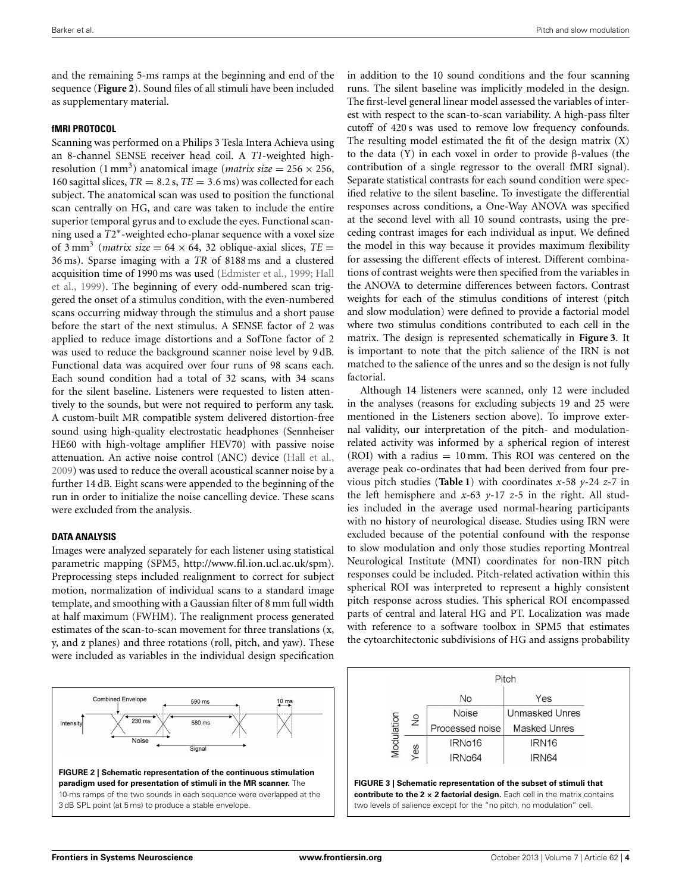and the remaining 5-ms ramps at the beginning and end of the sequence (**[Figure 2](#page-3-0)**). Sound files of all stimuli have been included as supplementary material.

# **fMRI PROTOCOL**

Scanning was performed on a Philips 3 Tesla Intera Achieva using an 8-channel SENSE receiver head coil. A *T1*-weighted highresolution (1 mm<sup>3</sup>) anatomical image (*matrix size* =  $256 \times 256$ , 160 sagittal slices,  $TR = 8.2$  s,  $TE = 3.6$  ms) was collected for each subject. The anatomical scan was used to position the functional scan centrally on HG, and care was taken to include the entire superior temporal gyrus and to exclude the eyes. Functional scanning used a *T*2∗-weighted echo-planar sequence with a voxel size of 3 mm<sup>3</sup> (*matrix size* =  $64 \times 64$ , 32 oblique-axial slices,  $TE =$ 36 ms). Sparse imaging with a *TR* of 8188 ms and a clustered acqu[isition time of 1990 ms was used](#page-8-20) [\(Edmister et al.](#page-8-19)[,](#page-8-20) [1999](#page-8-19)[;](#page-8-20) Hall et al., [1999\)](#page-8-20). The beginning of every odd-numbered scan triggered the onset of a stimulus condition, with the even-numbered scans occurring midway through the stimulus and a short pause before the start of the next stimulus. A SENSE factor of 2 was applied to reduce image distortions and a SofTone factor of 2 was used to reduce the background scanner noise level by 9 dB. Functional data was acquired over four runs of 98 scans each. Each sound condition had a total of 32 scans, with 34 scans for the silent baseline. Listeners were requested to listen attentively to the sounds, but were not required to perform any task. A custom-built MR compatible system delivered distortion-free sound using high-quality electrostatic headphones (Sennheiser HE60 with high-voltage amplifier HEV70) with passive noise attenuation. An active noise control (ANC) device [\(Hall et al.](#page-8-21), [2009](#page-8-21)) was used to reduce the overall acoustical scanner noise by a further 14 dB. Eight scans were appended to the beginning of the run in order to initialize the noise cancelling device. These scans were excluded from the analysis.

# **DATA ANALYSIS**

Images were analyzed separately for each listener using statistical parametric mapping (SPM5, [http://www](http://www.fil.ion.ucl.ac.uk/spm)*.*fil*.*ion*.*ucl*.*ac*.*uk/spm). Preprocessing steps included realignment to correct for subject motion, normalization of individual scans to a standard image template, and smoothing with a Gaussian filter of 8 mm full width at half maximum (FWHM). The realignment process generated estimates of the scan-to-scan movement for three translations (x, y, and z planes) and three rotations (roll, pitch, and yaw). These were included as variables in the individual design specification

<span id="page-3-0"></span>

in addition to the 10 sound conditions and the four scanning runs. The silent baseline was implicitly modeled in the design. The first-level general linear model assessed the variables of interest with respect to the scan-to-scan variability. A high-pass filter cutoff of 420 s was used to remove low frequency confounds. The resulting model estimated the fit of the design matrix (X) to the data (Y) in each voxel in order to provide β-values (the contribution of a single regressor to the overall fMRI signal). Separate statistical contrasts for each sound condition were specified relative to the silent baseline. To investigate the differential responses across conditions, a One-Way ANOVA was specified at the second level with all 10 sound contrasts, using the preceding contrast images for each individual as input. We defined the model in this way because it provides maximum flexibility for assessing the different effects of interest. Different combinations of contrast weights were then specified from the variables in the ANOVA to determine differences between factors. Contrast weights for each of the stimulus conditions of interest (pitch and slow modulation) were defined to provide a factorial model where two stimulus conditions contributed to each cell in the matrix. The design is represented schematically in **[Figure 3](#page-3-1)**. It is important to note that the pitch salience of the IRN is not matched to the salience of the unres and so the design is not fully factorial.

Although 14 listeners were scanned, only 12 were included in the analyses (reasons for excluding subjects 19 and 25 were mentioned in the Listeners section above). To improve external validity, our interpretation of the pitch- and modulationrelated activity was informed by a spherical region of interest (ROI) with a radius  $= 10$  mm. This ROI was centered on the average peak co-ordinates that had been derived from four previous pitch studies (**[Table 1](#page-4-0)**) with coordinates *x*-58 *y*-24 *z-*7 in the left hemisphere and *x-*63 *y*-17 *z-*5 in the right. All studies included in the average used normal-hearing participants with no history of neurological disease. Studies using IRN were excluded because of the potential confound with the response to slow modulation and only those studies reporting Montreal Neurological Institute (MNI) coordinates for non-IRN pitch responses could be included. Pitch-related activation within this spherical ROI was interpreted to represent a highly consistent pitch response across studies. This spherical ROI encompassed parts of central and lateral HG and PT. Localization was made with reference to a software toolbox in SPM5 that estimates the cytoarchitectonic subdivisions of HG and assigns probability

<span id="page-3-1"></span>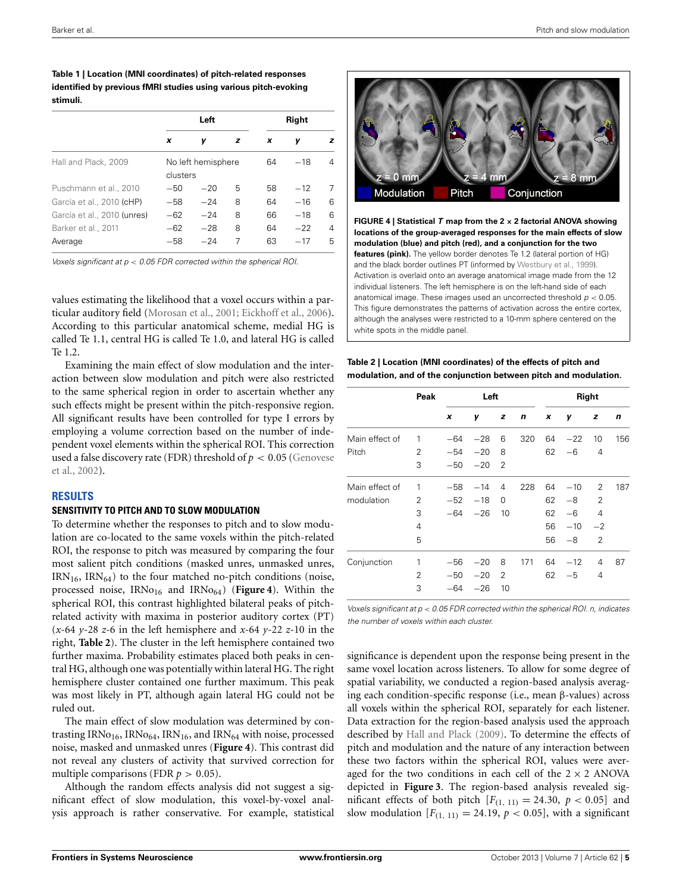<span id="page-4-0"></span>**Table 1 | Location (MNI coordinates) of pitch-related responses identified by previous fMRI studies using various pitch-evoking stimuli.**

|                             |                                | Left  | <b>Right</b> |    |       |   |
|-----------------------------|--------------------------------|-------|--------------|----|-------|---|
|                             | x                              | ν     | z            | x  | ν     | z |
| Hall and Plack, 2009        | No left hemisphere<br>clusters |       |              | 64 | $-18$ | 4 |
| Puschmann et al., 2010      | $-50$                          | $-20$ | 5            | 58 | $-12$ | 7 |
| García et al., 2010 (cHP)   | $-58$                          | $-24$ | 8            | 64 | $-16$ | 6 |
| García et al., 2010 (unres) | $-62$                          | $-24$ | 8            | 66 | $-18$ | 6 |
| Barker et al., 2011         | $-62$                          | $-28$ | 8            | 64 | $-22$ | 4 |
| Average                     | $-58$                          | $-24$ | 7            | 63 | $-17$ | 5 |

*Voxels significant at p < 0.05 FDR corrected within the spherical ROI.*

values estimating the likelihood that a voxel occurs within a particular auditory field [\(Morosan et al., 2001;](#page-8-23) [Eickhoff et al.](#page-8-24), [2006](#page-8-24)). According to this particular anatomical scheme, medial HG is called Te 1.1, central HG is called Te 1.0, and lateral HG is called Te 1.2.

Examining the main effect of slow modulation and the interaction between slow modulation and pitch were also restricted to the same spherical region in order to ascertain whether any such effects might be present within the pitch-responsive region. All significant results have been controlled for type I errors by employing a volume correction based on the number of independent voxel elements within the spherical ROI. This correction used [a false discovery rate \(FDR\) threshold of](#page-8-25) *p <* 0*.*05 (Genovese et al., [2002\)](#page-8-25).

#### **RESULTS**

#### **SENSITIVITY TO PITCH AND TO SLOW MODULATION**

To determine whether the responses to pitch and to slow modulation are co-located to the same voxels within the pitch-related ROI, the response to pitch was measured by comparing the four most salient pitch conditions (masked unres, unmasked unres,  $IRN_{16}$ ,  $IRN_{64}$ ) to the four matched no-pitch conditions (noise, processed noise, IRNo<sub>16</sub> and IRNo<sub>64</sub>) ([Figure 4](#page-4-1)). Within the spherical ROI, this contrast highlighted bilateral peaks of pitchrelated activity with maxima in posterior auditory cortex (PT) (*x*-64 *y*-28 *z-*6 in the left hemisphere and *x-*64 *y*-22 *z-*10 in the right, **[Table 2](#page-4-2)**). The cluster in the left hemisphere contained two further maxima. Probability estimates placed both peaks in central HG, although one was potentially within lateral HG. The right hemisphere cluster contained one further maximum. This peak was most likely in PT, although again lateral HG could not be ruled out.

The main effect of slow modulation was determined by contrasting IRNo<sub>16</sub>, IRN<sub>064</sub>, IRN<sub>16</sub>, and IRN<sub>64</sub> with noise, processed noise, masked and unmasked unres (**[Figure 4](#page-4-1)**). This contrast did not reveal any clusters of activity that survived correction for multiple comparisons (FDR  $p > 0.05$ ).

Although the random effects analysis did not suggest a significant effect of slow modulation, this voxel-by-voxel analysis approach is rather conservative. For example, statistical



<span id="page-4-1"></span>**FIGURE 4 | Statistical** *T* **map from the 2 × 2 factorial ANOVA showing locations of the group-averaged responses for the main effects of slow modulation (blue) and pitch (red), and a conjunction for the two features (pink).** The yellow border denotes Te 1.2 (lateral portion of HG) and the black border outlines PT (informed by [Westbury et al.](#page-8-26), [1999](#page-8-26)). Activation is overlaid onto an average anatomical image made from the 12 individual listeners. The left hemisphere is on the left-hand side of each anatomical image. These images used an uncorrected threshold *p <* 0*.*05. This figure demonstrates the patterns of activation across the entire cortex, although the analyses were restricted to a 10-mm sphere centered on the white spots in the middle panel.

<span id="page-4-2"></span>

| Table 2   Location (MNI coordinates) of the effects of pitch and |
|------------------------------------------------------------------|
| modulation, and of the conjunction between pitch and modulation. |

|                | Peak           | Left  |       |                | Right |    |       |                |     |
|----------------|----------------|-------|-------|----------------|-------|----|-------|----------------|-----|
|                |                | x     | γ     | z              | n     | x  | y     | z              | n   |
| Main effect of | 1              | $-64$ | $-28$ | 6              | 320   | 64 | $-22$ | 10             | 156 |
| Pitch          | 2              | $-54$ | $-20$ | 8              |       | 62 | -6    | 4              |     |
|                | 3              | $-50$ | $-20$ | $\overline{2}$ |       |    |       |                |     |
| Main effect of | 1              | $-58$ | $-14$ | 4              | 228   | 64 | $-10$ | 2              | 187 |
| modulation     | 2              | $-52$ | $-18$ | 0              |       | 62 | -8    | $\overline{2}$ |     |
|                | 3              | $-64$ | $-26$ | 10             |       | 62 | $-6$  | 4              |     |
|                | 4              |       |       |                |       | 56 | $-10$ | $-2$           |     |
|                | 5              |       |       |                |       | 56 | $-8$  | 2              |     |
| Conjunction    | 1              | $-56$ | $-20$ | 8              | 171   | 64 | $-12$ | 4              | 87  |
|                | $\overline{2}$ | $-50$ | $-20$ | $\overline{2}$ |       | 62 | $-5$  | 4              |     |
|                | 3              | $-64$ | $-26$ | 10             |       |    |       |                |     |

*Voxels significant at p < 0.05 FDR corrected within the spherical ROI. n, indicates the number of voxels within each cluster.*

significance is dependent upon the response being present in the same voxel location across listeners. To allow for some degree of spatial variability, we conducted a region-based analysis averaging each condition-specific response (i.e., mean β-values) across all voxels within the spherical ROI, separately for each listener. Data extraction for the region-based analysis used the approach described by [Hall and Plack](#page-8-3) [\(2009\)](#page-8-3). To determine the effects of pitch and modulation and the nature of any interaction between these two factors within the spherical ROI, values were averaged for the two conditions in each cell of the  $2 \times 2$  ANOVA depicted in **[Figure 3](#page-3-1)**. The region-based analysis revealed significant effects of both pitch  $[F<sub>(1, 11)</sub>] = 24.30, p < 0.05]$  and slow modulation  $[F_{(1, 11)} = 24.19, p < 0.05]$ , with a significant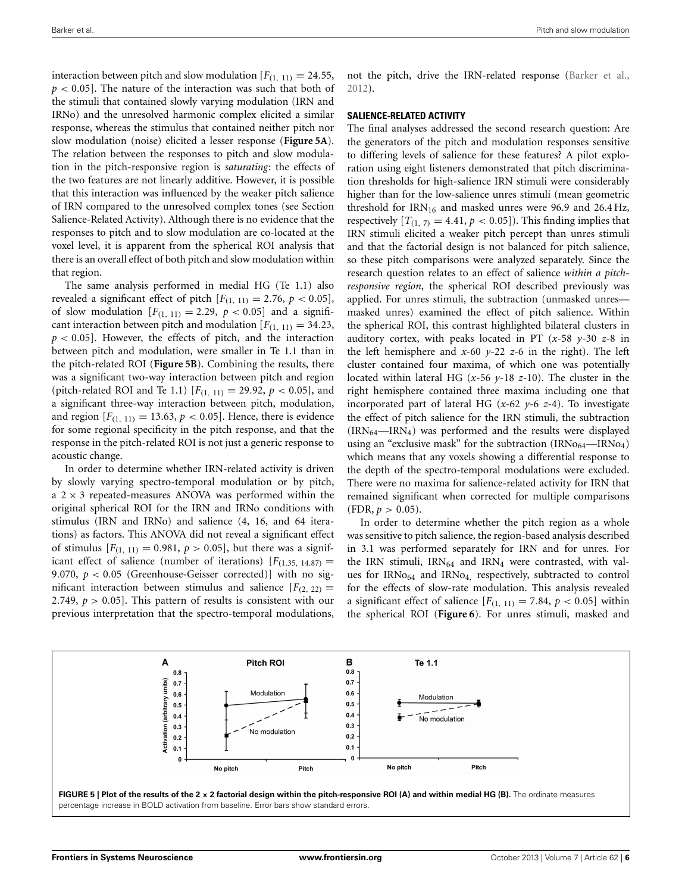interaction between pitch and slow modulation  $[F_{(1, 11)} = 24.55$ , *p <* 0*.*05]. The nature of the interaction was such that both of the stimuli that contained slowly varying modulation (IRN and IRNo) and the unresolved harmonic complex elicited a similar response, whereas the stimulus that contained neither pitch nor slow modulation (noise) elicited a lesser response (**[Figure 5A](#page-5-0)**). The relation between the responses to pitch and slow modulation in the pitch-responsive region is *saturating*: the effects of the two features are not linearly additive. However, it is possible that this interaction was influenced by the weaker pitch salience of IRN compared to the unresolved complex tones (see Section Salience-Related Activity). Although there is no evidence that the responses to pitch and to slow modulation are co-located at the voxel level, it is apparent from the spherical ROI analysis that there is an overall effect of both pitch and slow modulation within that region.

The same analysis performed in medial HG (Te 1.1) also revealed a significant effect of pitch  $[F_{(1, 11)} = 2.76, p < 0.05]$ , of slow modulation  $[F_{(1, 11)} = 2.29, p < 0.05]$  and a significant interaction between pitch and modulation  $[F_{(1, 11)} = 34.23$ , *p <* 0*.*05]. However, the effects of pitch, and the interaction between pitch and modulation, were smaller in Te 1.1 than in the pitch-related ROI (**[Figure 5B](#page-5-0)**). Combining the results, there was a significant two-way interaction between pitch and region (pitch-related ROI and Te 1.1)  $[F_{(1, 11)} = 29.92, p < 0.05]$ , and a significant three-way interaction between pitch, modulation, and region  $[F_{(1, 11)} = 13.63, p < 0.05]$ . Hence, there is evidence for some regional specificity in the pitch response, and that the response in the pitch-related ROI is not just a generic response to acoustic change.

In order to determine whether IRN-related activity is driven by slowly varying spectro-temporal modulation or by pitch, a  $2 \times 3$  repeated-measures ANOVA was performed within the original spherical ROI for the IRN and IRNo conditions with stimulus (IRN and IRNo) and salience (4, 16, and 64 iterations) as factors. This ANOVA did not reveal a significant effect of stimulus  $[F_{(1, 11)} = 0.981, p > 0.05]$ , but there was a significant effect of salience (number of iterations)  $[F<sub>(1.35, 14.87)</sub>]$ 9*.*070, *p <* 0*.*05 (Greenhouse-Geisser corrected)] with no significant interaction between stimulus and salience  $[F<sub>(2, 22)</sub>]$ 2*.*749, *p >* 0*.*05]. This pattern of results is consistent with our previous interpretation that the spectro-temporal modulations,

not the pitch, drive the IRN-related response [\(Barker et al.](#page-8-17), [2012](#page-8-17)).

#### **SALIENCE-RELATED ACTIVITY**

The final analyses addressed the second research question: Are the generators of the pitch and modulation responses sensitive to differing levels of salience for these features? A pilot exploration using eight listeners demonstrated that pitch discrimination thresholds for high-salience IRN stimuli were considerably higher than for the low-salience unres stimuli (mean geometric threshold for  $IRN<sub>16</sub>$  and masked unres were 96.9 and 26.4 Hz, respectively  $[T_{(1, 7)} = 4.41, p < 0.05]$ ). This finding implies that IRN stimuli elicited a weaker pitch percept than unres stimuli and that the factorial design is not balanced for pitch salience, so these pitch comparisons were analyzed separately. Since the research question relates to an effect of salience *within a pitchresponsive region*, the spherical ROI described previously was applied. For unres stimuli, the subtraction (unmasked unres masked unres) examined the effect of pitch salience. Within the spherical ROI, this contrast highlighted bilateral clusters in auditory cortex, with peaks located in PT (*x*-58 *y*-30 *z-*8 in the left hemisphere and *x-*60 *y*-22 *z-*6 in the right). The left cluster contained four maxima, of which one was potentially located within lateral HG (*x*-56 *y*-18 *z-*10). The cluster in the right hemisphere contained three maxima including one that incorporated part of lateral HG (*x-*62 *y*-6 *z-*4). To investigate the effect of pitch salience for the IRN stimuli, the subtraction  $(IRN<sub>64</sub>—IRN<sub>4</sub>)$  was performed and the results were displayed using an "exclusive mask" for the subtraction  $(IRNo<sub>64</sub>—IRNo<sub>4</sub>)$ which means that any voxels showing a differential response to the depth of the spectro-temporal modulations were excluded. There were no maxima for salience-related activity for IRN that remained significant when corrected for multiple comparisons  $(FDR, p > 0.05)$ .

In order to determine whether the pitch region as a whole was sensitive to pitch salience, the region-based analysis described in 3.1 was performed separately for IRN and for unres. For the IRN stimuli,  $IRN_{64}$  and  $IRN_4$  were contrasted, with values for IRNo<sub>64</sub> and IRNo<sub>4</sub>, respectively, subtracted to control for the effects of slow-rate modulation. This analysis revealed a significant effect of salience  $[F_{(1, 11)} = 7.84, p < 0.05]$  within the spherical ROI (**[Figure 6](#page-6-0)**). For unres stimuli, masked and

<span id="page-5-0"></span>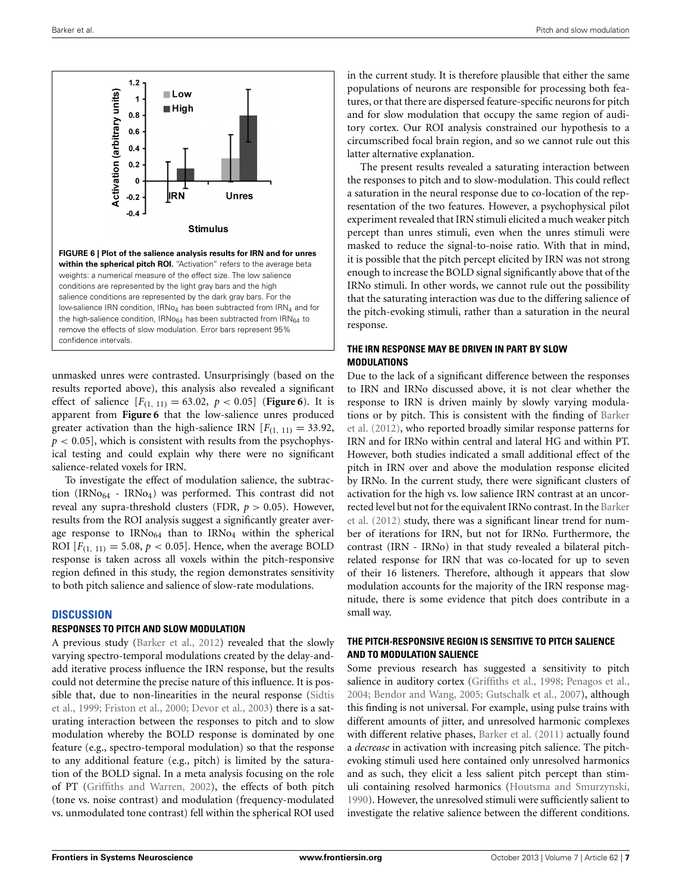

<span id="page-6-0"></span>unmasked unres were contrasted. Unsurprisingly (based on the results reported above), this analysis also revealed a significant effect of salience  $[F_{(1, 11)} = 63.02, p < 0.05]$  ([Figure 6](#page-6-0)). It is apparent from **[Figure 6](#page-6-0)** that the low-salience unres produced greater activation than the high-salience IRN  $[F(1, 11) = 33.92$ , *p <* 0*.*05], which is consistent with results from the psychophysical testing and could explain why there were no significant salience-related voxels for IRN.

To investigate the effect of modulation salience, the subtraction (IRNo $_{64}$  - IRNo<sub>4</sub>) was performed. This contrast did not reveal any supra-threshold clusters (FDR, *p >* 0*.*05). However, results from the ROI analysis suggest a significantly greater average response to  $IRNo<sub>64</sub>$  than to  $IRNo<sub>4</sub>$  within the spherical ROI  $[F_{(1, 11)} = 5.08, p < 0.05]$ . Hence, when the average BOLD response is taken across all voxels within the pitch-responsive region defined in this study, the region demonstrates sensitivity to both pitch salience and salience of slow-rate modulations.

## **DISCUSSION**

#### **RESPONSES TO PITCH AND SLOW MODULATION**

A previous study [\(Barker et al., 2012\)](#page-8-17) revealed that the slowly varying spectro-temporal modulations created by the delay-andadd iterative process influence the IRN response, but the results could not determine the precise nature of this influence. It is possible [that, due to non-linearities in the neural response \(](#page-8-27)Sidtis et al., [1999;](#page-8-27) [Friston et al.](#page-8-28), [2000;](#page-8-28) [Devor et al., 2003\)](#page-8-29) there is a saturating interaction between the responses to pitch and to slow modulation whereby the BOLD response is dominated by one feature (e.g., spectro-temporal modulation) so that the response to any additional feature (e.g., pitch) is limited by the saturation of the BOLD signal. In a meta analysis focusing on the role of PT [\(Griffiths and Warren](#page-8-30), [2002](#page-8-30)), the effects of both pitch (tone vs. noise contrast) and modulation (frequency-modulated vs. unmodulated tone contrast) fell within the spherical ROI used

in the current study. It is therefore plausible that either the same populations of neurons are responsible for processing both features, or that there are dispersed feature-specific neurons for pitch and for slow modulation that occupy the same region of auditory cortex. Our ROI analysis constrained our hypothesis to a circumscribed focal brain region, and so we cannot rule out this latter alternative explanation.

The present results revealed a saturating interaction between the responses to pitch and to slow-modulation. This could reflect a saturation in the neural response due to co-location of the representation of the two features. However, a psychophysical pilot experiment revealed that IRN stimuli elicited a much weaker pitch percept than unres stimuli, even when the unres stimuli were masked to reduce the signal-to-noise ratio. With that in mind, it is possible that the pitch percept elicited by IRN was not strong enough to increase the BOLD signal significantly above that of the IRNo stimuli. In other words, we cannot rule out the possibility that the saturating interaction was due to the differing salience of the pitch-evoking stimuli, rather than a saturation in the neural response.

# **THE IRN RESPONSE MAY BE DRIVEN IN PART BY SLOW MODULATIONS**

Due to the lack of a significant difference between the responses to IRN and IRNo discussed above, it is not clear whether the response to IRN is driven mainly by slowly varying modulation[s or by pitch. This is consistent with the finding of](#page-8-17) Barker et al. [\(2012\)](#page-8-17), who reported broadly similar response patterns for IRN and for IRNo within central and lateral HG and within PT. However, both studies indicated a small additional effect of the pitch in IRN over and above the modulation response elicited by IRNo. In the current study, there were significant clusters of activation for the high vs. low salience IRN contrast at an uncorrecte[d level but not for the equivalent IRNo contrast. In the](#page-8-17) Barker et al. [\(2012](#page-8-17)) study, there was a significant linear trend for number of iterations for IRN, but not for IRNo. Furthermore, the contrast (IRN - IRNo) in that study revealed a bilateral pitchrelated response for IRN that was co-located for up to seven of their 16 listeners. Therefore, although it appears that slow modulation accounts for the majority of the IRN response magnitude, there is some evidence that pitch does contribute in a small way.

# **THE PITCH-RESPONSIVE REGION IS SENSITIVE TO PITCH SALIENCE AND TO MODULATION SALIENCE**

Some previous research has suggested a sensitivity to pitch salience in auditory cortex [\(Griffiths et al.](#page-8-0), [1998;](#page-8-0) [Penagos et al.,](#page-8-2) [2004](#page-8-2); [Bendor and Wang](#page-8-31), [2005](#page-8-31); [Gutschalk et al., 2007](#page-8-32)), although this finding is not universal. For example, using pulse trains with different amounts of jitter, and unresolved harmonic complexes with different relative phases, [Barker et al.](#page-8-16) [\(2011\)](#page-8-16) actually found a *decrease* in activation with increasing pitch salience. The pitchevoking stimuli used here contained only unresolved harmonics and as such, they elicit a less salient pitch percept than stimuli containing resolved harmonics [\(Houtsma and Smurzynski,](#page-8-33) [1990](#page-8-33)). However, the unresolved stimuli were sufficiently salient to investigate the relative salience between the different conditions.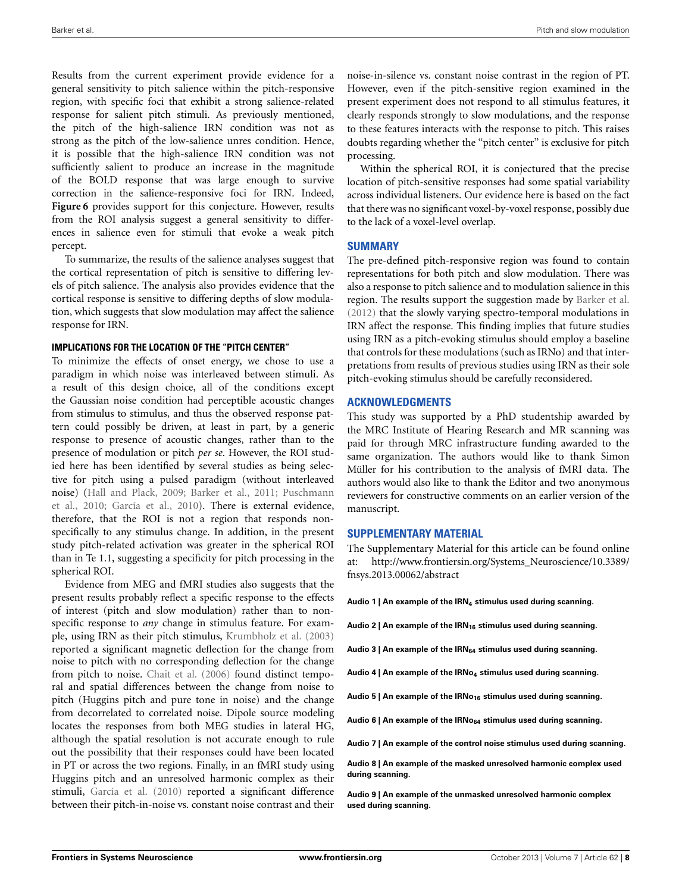Results from the current experiment provide evidence for a general sensitivity to pitch salience within the pitch-responsive region, with specific foci that exhibit a strong salience-related response for salient pitch stimuli. As previously mentioned, the pitch of the high-salience IRN condition was not as strong as the pitch of the low-salience unres condition. Hence, it is possible that the high-salience IRN condition was not sufficiently salient to produce an increase in the magnitude of the BOLD response that was large enough to survive correction in the salience-responsive foci for IRN. Indeed, **[Figure 6](#page-6-0)** provides support for this conjecture. However, results from the ROI analysis suggest a general sensitivity to differences in salience even for stimuli that evoke a weak pitch percept.

To summarize, the results of the salience analyses suggest that the cortical representation of pitch is sensitive to differing levels of pitch salience. The analysis also provides evidence that the cortical response is sensitive to differing depths of slow modulation, which suggests that slow modulation may affect the salience response for IRN.

#### **IMPLICATIONS FOR THE LOCATION OF THE "PITCH CENTER"**

To minimize the effects of onset energy, we chose to use a paradigm in which noise was interleaved between stimuli. As a result of this design choice, all of the conditions except the Gaussian noise condition had perceptible acoustic changes from stimulus to stimulus, and thus the observed response pattern could possibly be driven, at least in part, by a generic response to presence of acoustic changes, rather than to the presence of modulation or pitch *per se*. However, the ROI studied here has been identified by several studies as being selective for pitch using a pulsed paradigm (without interleaved noise[\)](#page-8-22) [\(Hall and Plack](#page-8-3)[,](#page-8-22) [2009](#page-8-3)[;](#page-8-22) [Barker et al.](#page-8-16)[,](#page-8-22) [2011](#page-8-16)[;](#page-8-22) Puschmann et al., [2010;](#page-8-22) [García et al., 2010](#page-8-15)). There is external evidence, therefore, that the ROI is not a region that responds nonspecifically to any stimulus change. In addition, in the present study pitch-related activation was greater in the spherical ROI than in Te 1.1, suggesting a specificity for pitch processing in the spherical ROI.

Evidence from MEG and fMRI studies also suggests that the present results probably reflect a specific response to the effects of interest (pitch and slow modulation) rather than to nonspecific response to *any* change in stimulus feature. For example, using IRN as their pitch stimulus, [Krumbholz et al.](#page-8-1) [\(2003](#page-8-1)) reported a significant magnetic deflection for the change from noise to pitch with no corresponding deflection for the change from pitch to noise. [Chait et al.](#page-8-34) [\(2006\)](#page-8-34) found distinct temporal and spatial differences between the change from noise to pitch (Huggins pitch and pure tone in noise) and the change from decorrelated to correlated noise. Dipole source modeling locates the responses from both MEG studies in lateral HG, although the spatial resolution is not accurate enough to rule out the possibility that their responses could have been located in PT or across the two regions. Finally, in an fMRI study using Huggins pitch and an unresolved harmonic complex as their stimuli, [García et al.](#page-8-15) [\(2010](#page-8-15)) reported a significant difference between their pitch-in-noise vs. constant noise contrast and their

noise-in-silence vs. constant noise contrast in the region of PT. However, even if the pitch-sensitive region examined in the present experiment does not respond to all stimulus features, it clearly responds strongly to slow modulations, and the response to these features interacts with the response to pitch. This raises doubts regarding whether the "pitch center" is exclusive for pitch processing.

Within the spherical ROI, it is conjectured that the precise location of pitch-sensitive responses had some spatial variability across individual listeners. Our evidence here is based on the fact that there was no significant voxel-by-voxel response, possibly due to the lack of a voxel-level overlap.

## **SUMMARY**

The pre-defined pitch-responsive region was found to contain representations for both pitch and slow modulation. There was also a response to pitch salience and to modulation salience in this region. The results support the suggestion made by [Barker et al.](#page-8-17) [\(2012\)](#page-8-17) that the slowly varying spectro-temporal modulations in IRN affect the response. This finding implies that future studies using IRN as a pitch-evoking stimulus should employ a baseline that controls for these modulations (such as IRNo) and that interpretations from results of previous studies using IRN as their sole pitch-evoking stimulus should be carefully reconsidered.

# **ACKNOWLEDGMENTS**

This study was supported by a PhD studentship awarded by the MRC Institute of Hearing Research and MR scanning was paid for through MRC infrastructure funding awarded to the same organization. The authors would like to thank Simon Müller for his contribution to the analysis of fMRI data. The authors would also like to thank the Editor and two anonymous reviewers for constructive comments on an earlier version of the manuscript.

#### **SUPPLEMENTARY MATERIAL**

The Supplementary Material for this article can be found online at: [http://www.frontiersin.org/Systems\\_Neuroscience/10.3389/](http://www.frontiersin.org/Systems_Neuroscience/10.3389/fnsys.2013.00062/abstract) [fnsys.2013.00062/abstract](http://www.frontiersin.org/Systems_Neuroscience/10.3389/fnsys.2013.00062/abstract)

**Audio 1 | An example of the IRN4 stimulus used during scanning.**

Audio 2 | An example of the IRN<sub>16</sub> stimulus used during scanning.

Audio 3 | An example of the IRN<sub>64</sub> stimulus used during scanning.

Audio 4 | An example of the IRNo<sub>4</sub> stimulus used during scanning.

Audio 5 | An example of the IRNo<sub>16</sub> stimulus used during scanning.

Audio 6 | An example of the IRNo<sub>64</sub> stimulus used during scanning.

**Audio 7 | An example of the control noise stimulus used during scanning.**

**Audio 8 | An example of the masked unresolved harmonic complex used during scanning.**

**Audio 9 | An example of the unmasked unresolved harmonic complex used during scanning.**